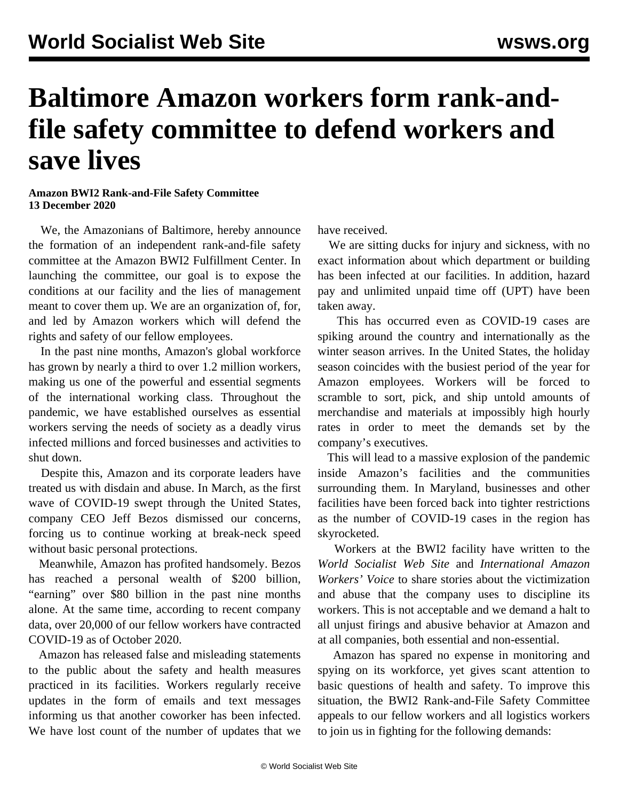## **Baltimore Amazon workers form rank-andfile safety committee to defend workers and save lives**

## **Amazon BWI2 Rank-and-File Safety Committee 13 December 2020**

 We, the Amazonians of Baltimore, hereby announce the formation of an independent rank-and-file safety committee at the Amazon BWI2 Fulfillment Center. In launching the committee, our goal is to expose the conditions at our facility and the lies of management meant to cover them up. We are an organization of, for, and led by Amazon workers which will defend the rights and safety of our fellow employees.

 In the past nine months, Amazon's global workforce has grown by nearly a third to over 1.2 million workers, making us one of the powerful and essential segments of the international working class. Throughout the pandemic, we have established ourselves as essential workers serving the needs of society as a deadly virus infected millions and forced businesses and activities to shut down.

 Despite this, Amazon and its corporate leaders have treated us with disdain and abuse. In March, as the first wave of COVID-19 swept through the United States, company CEO Jeff Bezos [dismissed](/en/articles/2020/03/24/bezo-m24.html) our concerns, forcing us to continue working at break-neck speed without basic personal protections.

 Meanwhile, Amazon has profited handsomely. Bezos has reached a personal wealth of \$200 billion, "earning" over \$80 billion in the past nine months alone. At the same time, according to recent company data, over 20,000 of our fellow workers have [contracted](/en/articles/2020/10/03/amaz-o03.html) COVID-19 as of October 2020.

 Amazon has released [false and misleading statements](/en/articles/2020/05/29/apro-m29.html) to the public about the safety and health measures practiced in its facilities. Workers regularly receive updates in the form of emails and text messages informing us that another coworker has been infected. We have lost count of the number of updates that we have received.

 We are sitting ducks for injury and sickness, with no exact information about which department or building has been infected at our facilities. In addition, [hazard](/en/articles/2020/05/18/amau-m18.html) [pay](/en/articles/2020/05/18/amau-m18.html) and unlimited unpaid time off (UPT) have been taken away.

 This has occurred even as COVID-19 cases are spiking around the country and internationally as the winter season arrives. In the United States, the holiday season coincides with the busiest period of the year for Amazon employees. Workers will be forced to scramble to sort, pick, and ship untold amounts of merchandise and materials at impossibly high hourly rates in order to meet the demands set by the company's executives.

 This will lead to a massive explosion of the pandemic inside Amazon's facilities and the communities surrounding them. In Maryland, businesses and other facilities have been [forced back into tighter restrictions](/en/articles/2020/11/12/mary-n12.html) as the number of COVID-19 cases in the region has skyrocketed.

 Workers at the BWI2 facility have written to the *World Socialist Web Site* and *International Amazon Workers' Voice* to share stories about the [victimization](/en/articles/2018/12/18/amaz-d18.html) and [abuse](/en/articles/2019/01/19/amaz-j19.html) that the company uses to discipline its workers. This is not acceptable and we demand a halt to all unjust firings and abusive behavior at Amazon and at all companies, both essential and non-essential.

 Amazon has spared no expense in monitoring and spying on its workforce, yet gives scant attention to basic questions of health and safety. To improve this situation, the BWI2 Rank-and-File Safety Committee appeals to our fellow workers and all logistics workers to join us in fighting for the following demands: